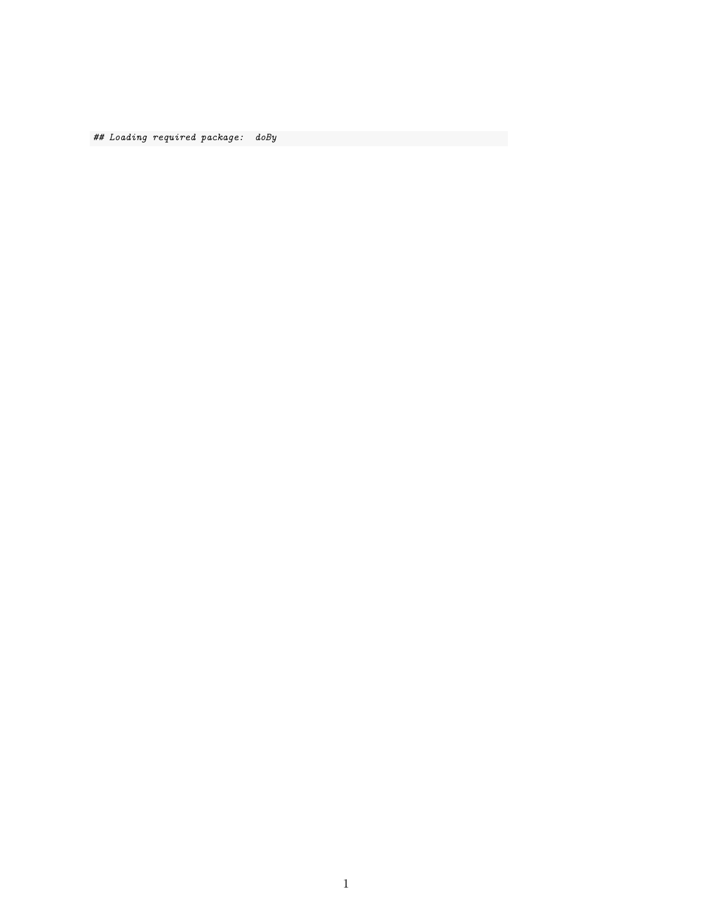## Loading required package: doBy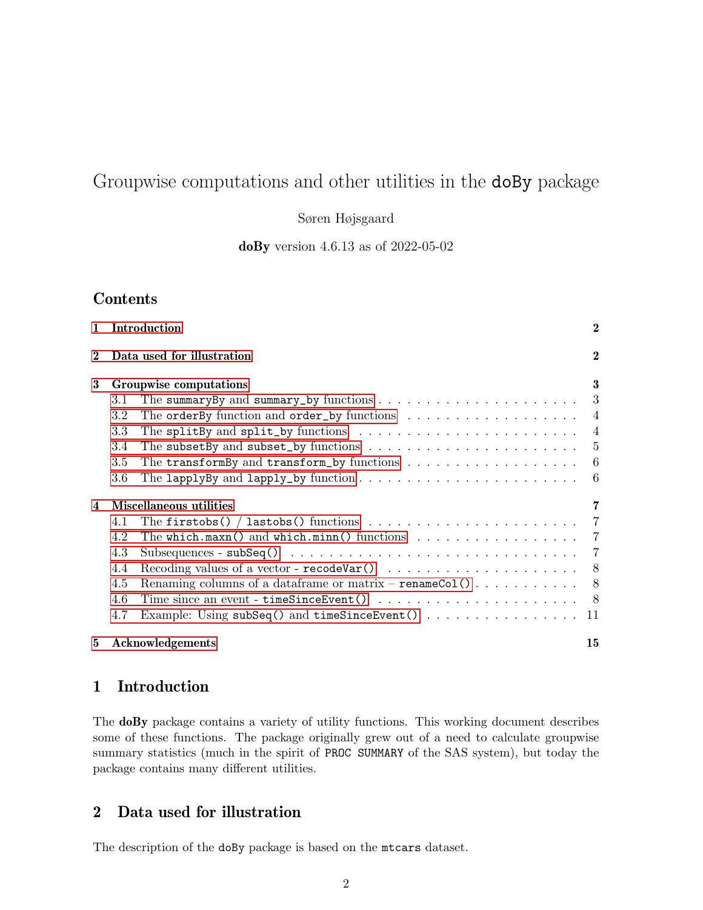# Groupwise computations and other utilities in the doBy package

Søren Højsgaard

doBy version 4.6.13 as of 2022-05-02

# Contents

| $\mathbf{1}$ |                            | Introduction                                                                                      | $\mathbf{2}$ |  |  |  |  |  |  |  |  |  |  |
|--------------|----------------------------|---------------------------------------------------------------------------------------------------|--------------|--|--|--|--|--|--|--|--|--|--|
| $\bf{2}$     | Data used for illustration |                                                                                                   |              |  |  |  |  |  |  |  |  |  |  |
| 3            | Groupwise computations     |                                                                                                   |              |  |  |  |  |  |  |  |  |  |  |
|              | 3.1                        | The summary By and summary_by functions $\ldots \ldots \ldots \ldots \ldots \ldots \ldots$        |              |  |  |  |  |  |  |  |  |  |  |
|              | $3.2\,$                    | The order By function and order_by functions $\dots \dots \dots \dots \dots \dots$                |              |  |  |  |  |  |  |  |  |  |  |
|              | 3.3                        | The split By and split by functions $\ldots \ldots \ldots \ldots \ldots \ldots \ldots$            |              |  |  |  |  |  |  |  |  |  |  |
|              | 3.4                        | The subset By and subset_by functions $\dots \dots \dots \dots \dots \dots \dots \dots \dots$     |              |  |  |  |  |  |  |  |  |  |  |
|              | 3.5                        | The transformBy and transform_by functions $\ldots \ldots \ldots \ldots \ldots \ldots$            |              |  |  |  |  |  |  |  |  |  |  |
|              | 3.6                        | The lapplyBy and lapply_by function $\dots \dots \dots \dots \dots \dots \dots \dots \dots \dots$ |              |  |  |  |  |  |  |  |  |  |  |
| 4            | Miscellaneous utilities    |                                                                                                   |              |  |  |  |  |  |  |  |  |  |  |
|              | 4.1                        |                                                                                                   |              |  |  |  |  |  |  |  |  |  |  |
|              | 4.2                        | The which maxn() and which minn() functions $\ldots \ldots \ldots \ldots \ldots$ 7                |              |  |  |  |  |  |  |  |  |  |  |
|              | 4.3                        |                                                                                                   |              |  |  |  |  |  |  |  |  |  |  |
|              | 4.4                        |                                                                                                   |              |  |  |  |  |  |  |  |  |  |  |
|              | 4.5                        |                                                                                                   |              |  |  |  |  |  |  |  |  |  |  |
|              | 4.6                        |                                                                                                   |              |  |  |  |  |  |  |  |  |  |  |
|              | 4.7                        |                                                                                                   | -11          |  |  |  |  |  |  |  |  |  |  |
| 5            |                            | Acknowledgements                                                                                  | 15           |  |  |  |  |  |  |  |  |  |  |

# <span id="page-1-0"></span>1 Introduction

The doBy package contains a variety of utility functions. This working document describes some of these functions. The package originally grew out of a need to calculate groupwise summary statistics (much in the spirit of PROC SUMMARY of the SAS system), but today the package contains many different utilities.

# <span id="page-1-1"></span>2 Data used for illustration

The description of the doBy package is based on the mtcars dataset.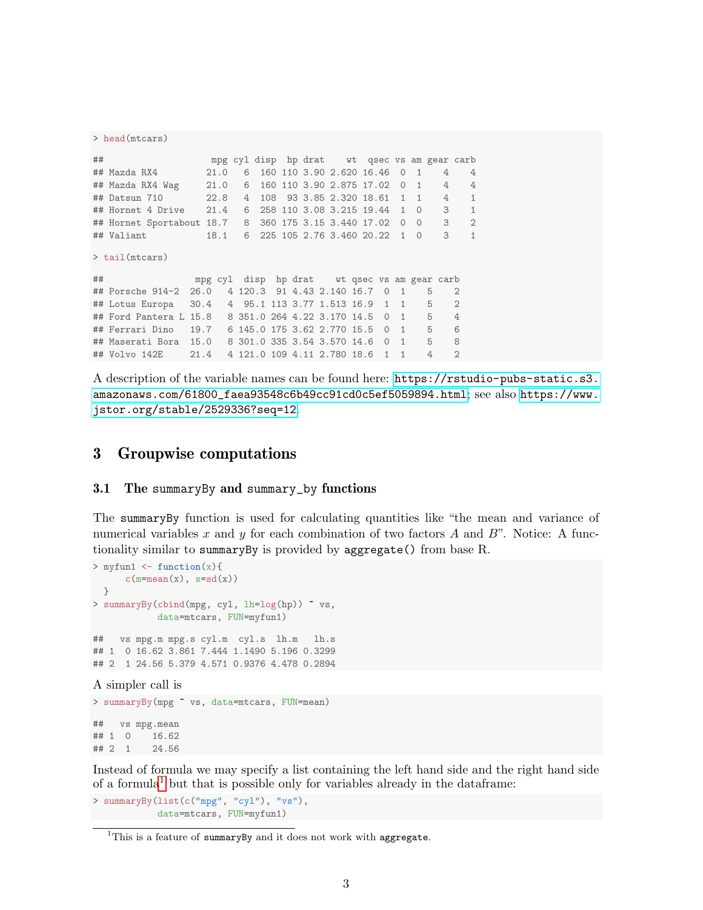```
> head(mtcars)
## mpg cyl disp hp drat wt qsec vs am gear carb
## Mazda RX4 21.0 6 160 110 3.90 2.620 16.46 0 1 4 4
## Mazda RX4 Wag 21.0 6 160 110 3.90 2.875 17.02 0 1 4 4
## Datsun 710 22.8 4 108 93 3.85 2.320 18.61 1 1 4 1
## Hornet 4 Drive 21.4 6 258 110 3.08 3.215 19.44 1 0 3 1
## Hornet Sportabout 18.7 8 360 175 3.15 3.440 17.02 0 0 3 2
## Valiant 18.1 6 225 105 2.76 3.460 20.22 1 0 3 1
> tail(mtcars)
## mpg cyl disp hp drat wt qsec vs am gear carb
## Porsche 914-2 26.0 4 120.3 91 4.43 2.140 16.7 0 1 5 2
## Lotus Europa 30.4 4 95.1 113 3.77 1.513 16.9 1 1 5 2
## Ford Pantera L 15.8 8 351.0 264 4.22 3.170 14.5 0 1 5 4
## Ferrari Dino 19.7 6 145.0 175 3.62 2.770 15.5 0 1 5 6
## Maserati Bora 15.0 8 301.0 335 3.54 3.570 14.6 0 1 5 8
## Volvo 142E 21.4 4 121.0 109 4.11 2.780 18.6 1 1 4 2
```
A description of the variable names can be found here: [https://rstudio-pubs-static.s3.](https://rstudio-pubs-static.s3.amazonaws.com/61800_faea93548c6b49cc91cd0c5ef5059894.html) [amazonaws.com/61800\\_faea93548c6b49cc91cd0c5ef5059894.html](https://rstudio-pubs-static.s3.amazonaws.com/61800_faea93548c6b49cc91cd0c5ef5059894.html); see also [https://www.](https://www.jstor.org/stable/2529336?seq=12) [jstor.org/stable/2529336?seq=12](https://www.jstor.org/stable/2529336?seq=12).

## <span id="page-2-0"></span>3 Groupwise computations

### <span id="page-2-1"></span>3.1 The summaryBy and summary\_by functions

The summaryBy function is used for calculating quantities like "the mean and variance of numerical variables x and y for each combination of two factors A and B". Notice: A functionality similar to summaryBy is provided by aggregate() from base R.

```
> myfun1 \leftarrow function(x){
      c(m=mean(x), s=sd(x))}
> summaryBy(cbind(mpg, cyl, lh=log(hp)) ~ vs,
            data=mtcars, FUN=myfun1)
## vs mpg.m mpg.s cyl.m cyl.s lh.m lh.s
## 1 0 16.62 3.861 7.444 1.1490 5.196 0.3299
## 2 1 24.56 5.379 4.571 0.9376 4.478 0.2894
A simpler call is
> summaryBy(mpg ~ vs, data=mtcars, FUN=mean)
```
## vs mpg.mean ## 1 0 16.62 ## 2 1 24.56

Instead of formula we may specify a list containing the left hand side and the right hand side of a formula<sup>[1](#page-2-2)</sup> but that is possible only for variables already in the dataframe:

> summaryBy(list(c("mpg", "cyl"), "vs"), data=mtcars, FUN=myfun1)

<span id="page-2-2"></span><sup>&</sup>lt;sup>1</sup>This is a feature of summaryBy and it does not work with aggregate.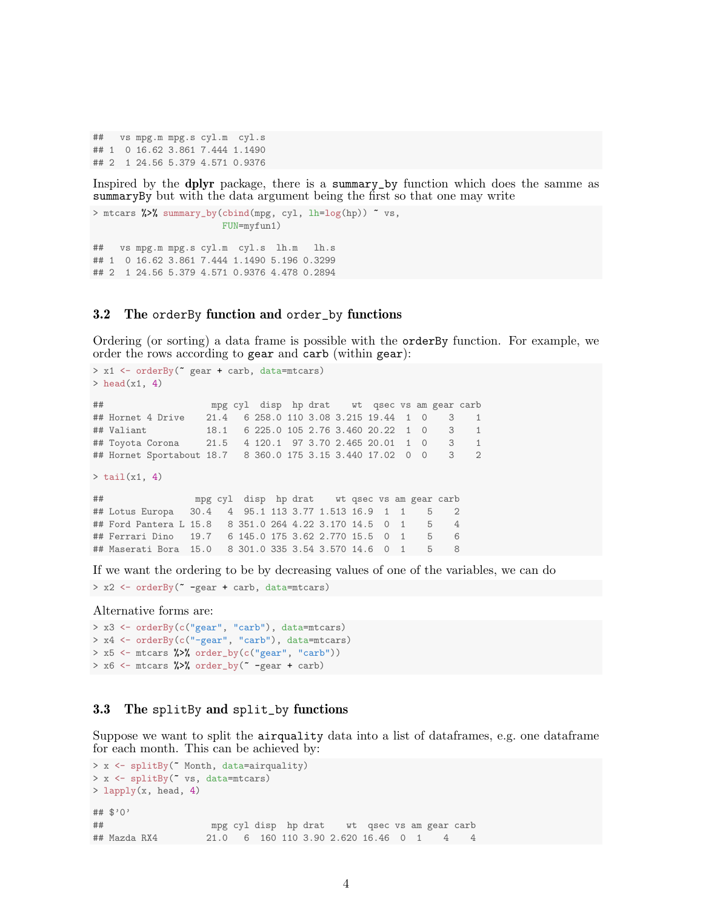```
## vs mpg.m mpg.s cyl.m cyl.s
## 1 0 16.62 3.861 7.444 1.1490
## 2 1 24.56 5.379 4.571 0.9376
```
Inspired by the dplyr package, there is a summary\_by function which does the samme as summaryBy but with the data argument being the first so that one may write

```
> mtcars %>% summary_by(cbind(mpg, cyl, lh=log(hp)) ~ vs,
                       FUN=myfun1)
## vs mpg.m mpg.s cyl.m cyl.s lh.m lh.s
## 1 0 16.62 3.861 7.444 1.1490 5.196 0.3299
## 2 1 24.56 5.379 4.571 0.9376 4.478 0.2894
```
#### <span id="page-3-0"></span>3.2 The orderBy function and order\_by functions

Ordering (or sorting) a data frame is possible with the orderBy function. For example, we order the rows according to gear and carb (within gear):

```
> x1 <- orderBy(~ gear + carb, data=mtcars)
> head(x1, 4)## mpg cyl disp hp drat wt qsec vs am gear carb
## Hornet 4 Drive 21.4 6 258.0 110 3.08 3.215 19.44 1 0 3 1
## Valiant 18.1 6 225.0 105 2.76 3.460 20.22 1 0 3 1
## Toyota Corona 21.5 4 120.1 97 3.70 2.465 20.01 1 0 3 1
## Hornet Sportabout 18.7 8 360.0 175 3.15 3.440 17.02 0 0 3 2
> \text{tail}(x1, 4)## mpg cyl disp hp drat wt qsec vs am gear carb
## Lotus Europa 30.4 4 95.1 113 3.77 1.513 16.9 1 1 5 2
## Ford Pantera L 15.8 8 351.0 264 4.22 3.170 14.5 0 1 5 4
## Ferrari Dino 19.7 6 145.0 175 3.62 2.770 15.5 0 1 5 6
## Maserati Bora 15.0 8 301.0 335 3.54 3.570 14.6 0 1 5 8
```
If we want the ordering to be by decreasing values of one of the variables, we can do

```
> x2 <- orderBy(~ -gear + carb, data=mtcars)
```
Alternative forms are:

```
> x3 <- orderBy(c("gear", "carb"), data=mtcars)
> x4 <- orderBy(c("-gear", "carb"), data=mtcars)
> x5 \le - mtcars \frac{1}{2}\ order_by(c("gear", "carb"))
> x6 <- mtcars %>% order_by(\degree -gear + carb)
```
### <span id="page-3-1"></span>3.3 The splitBy and split\_by functions

Suppose we want to split the airquality data into a list of dataframes, e.g. one dataframe for each month. This can be achieved by:

```
> x <- splitBy(~ Month, data=airquality)
> x <- splitBy(" vs, data=mtcars)
> lapply(x, head, 4)
## $'0'
## mpg cyl disp hp drat wt qsec vs am gear carb
## Mazda RX4 21.0 6 160 110 3.90 2.620 16.46 0 1 4 4
```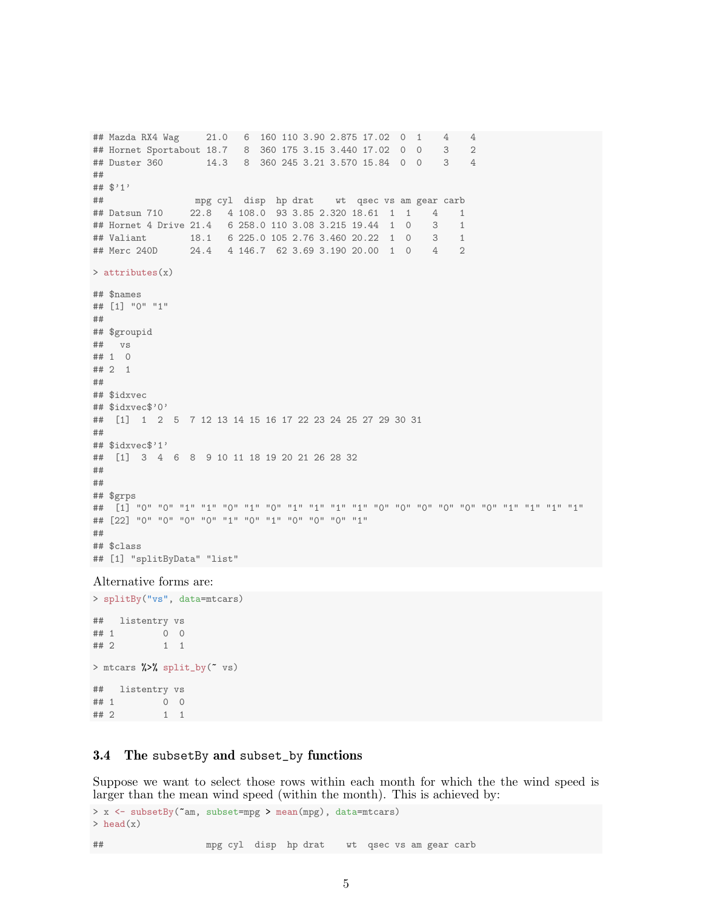```
## Mazda RX4 Wag 21.0 6 160 110 3.90 2.875 17.02 0 1 4 4
## Hornet Sportabout 18.7 8 360 175 3.15 3.440 17.02 0 0 3 2
## Duster 360 14.3 8 360 245 3.21 3.570 15.84 0 0 3 4
##
## $'1'
## mpg cyl disp hp drat wt qsec vs am gear carb
## Datsun 710 22.8 4 108.0 93 3.85 2.320 18.61 1 1 4 1
## Hornet 4 Drive 21.4 6 258.0 110 3.08 3.215 19.44 1 0 3 1
## Valiant 18.1 6 225.0 105 2.76 3.460 20.22 1 0 3 1
## Merc 240D 24.4 4 146.7 62 3.69 3.190 20.00 1 0 4 2
> attributes(x)
## $names
## [1] "0" "1"
##
## $groupid
## vs
## 1 0
## 2 1
##
## $idxvec
## $idxvec$'0'
## [1] 1 2 5 7 12 13 14 15 16 17 22 23 24 25 27 29 30 31
##
## $idxvec$'1'
## [1] 3 4 6 8 9 10 11 18 19 20 21 26 28 32
##
##
## $grps
## [1] "0" "0" "1" "1" "0" "1" "0" "1" "1" "1" "1" "0" "0" "0" "0" "0" "0" "1" "1" "1" "1"
## [22] "0" "0" "0" "0" "1" "0" "1" "0" "0" "0" "1"
##
## $class
## [1] "splitByData" "list"
```
#### Alternative forms are:

> splitBy("vs", data=mtcars) ## listentry vs ## 1 0 0 ## 2 1 1 > mtcars %>% split\_by(" vs) ## listentry vs ## 1 0 0 ## 2 1 1

### <span id="page-4-0"></span>3.4 The subsetBy and subset\_by functions

Suppose we want to select those rows within each month for which the the wind speed is larger than the mean wind speed (within the month). This is achieved by:

```
> x <- subsetBy(~am, subset=mpg > mean(mpg), data=mtcars)
> head(x)
## mpg cyl disp hp drat wt qsec vs am gear carb
```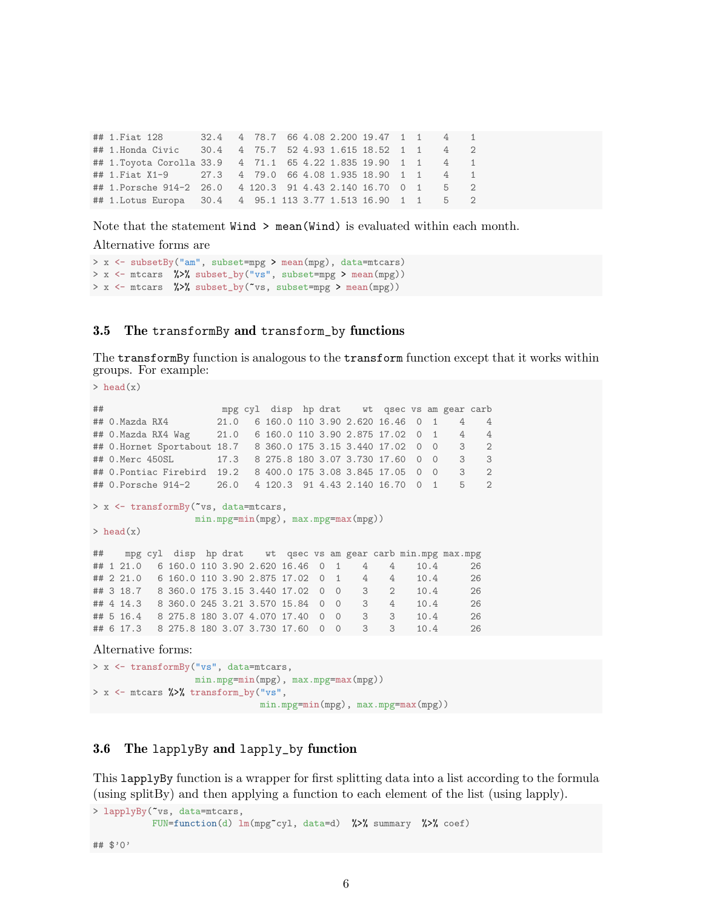## 1.Fiat 128 32.4 4 78.7 66 4.08 2.200 19.47 1 1 4 1 ## 1.Honda Civic 30.4 4 75.7 52 4.93 1.615 18.52 1 1 4 2 ## 1.Toyota Corolla 33.9 4 71.1 65 4.22 1.835 19.90 1 1 4 1 ## 1.Fiat X1-9 27.3 4 79.0 66 4.08 1.935 18.90 1 1 4 1 ## 1.Porsche 914-2 26.0 4 120.3 91 4.43 2.140 16.70 0 1 5 2 ## 1.Lotus Europa 30.4 4 95.1 113 3.77 1.513 16.90 1 1 5 2

Note that the statement Wind > mean(Wind) is evaluated within each month.

Alternative forms are

```
> x <- subsetBy("am", subset=mpg > mean(mpg), data=mtcars)
> x <- mtcars %>% subset_by("vs", subset=mpg > mean(mpg))
> x <- mtcars %>% subset_by("vs, subset=mpg > mean(mpg))
```
## <span id="page-5-0"></span>3.5 The transformBy and transform\_by functions

The transformBy function is analogous to the transform function except that it works within groups. For example:

```
> head(x)
## mpg cyl disp hp drat wt qsec vs am gear carb
## 0.Mazda RX4 21.0 6 160.0 110 3.90 2.620 16.46 0 1 4 4
## 0.Mazda RX4 Wag 21.0 6 160.0 110 3.90 2.875 17.02 0 1 4 4
## 0.Hornet Sportabout 18.7 8 360.0 175 3.15 3.440 17.02 0 0 3 2
## 0.Merc 450SL 17.3 8 275.8 180 3.07 3.730 17.60 0 0 3 3
## 0.Pontiac Firebird 19.2 8 400.0 175 3.08 3.845 17.05 0 0 3 2
## 0.Porsche 914-2 26.0 4 120.3 91 4.43 2.140 16.70 0 1 5 2
> x <- transformBy(~vs, data=mtcars,
               min.mpg=min(mpg), max.mpg=max(mpg))
> head(x)
## mpg cyl disp hp drat wt qsec vs am gear carb min.mpg max.mpg
## 1 21.0 6 160.0 110 3.90 2.620 16.46 0 1 4 4 10.4 26
## 2 21.0 6 160.0 110 3.90 2.875 17.02 0 1 4 4 10.4 26
## 3 18.7 8 360.0 175 3.15 3.440 17.02 0 0 3 2 10.4 26
## 4 14.3 8 360.0 245 3.21 3.570 15.84 0 0 3 4 10.4 26
## 5 16.4 8 275.8 180 3.07 4.070 17.40 0 0 3 3 10.4 26
## 6 17.3 8 275.8 180 3.07 3.730 17.60 0 0 3 3 10.4 26
```
Alternative forms:

```
> x <- transformBy("vs", data=mtcars,
                   min.mpg=min(mpg), max.mpg=max(mpg))
> x <- mtcars %>% transform_by("vs",
                              min.mpg=min(mpg), max.mpg=max(mpg))
```
## <span id="page-5-1"></span>3.6 The lapplyBy and lapply\_by function

This lapplyBy function is a wrapper for first splitting data into a list according to the formula (using splitBy) and then applying a function to each element of the list (using lapply).

```
> lapplyBy(~vs, data=mtcars,
           FUN=function(d) lm(mpg^{\sim}cyl, data=d) %>% summary %>% coef)
```
## \$'0'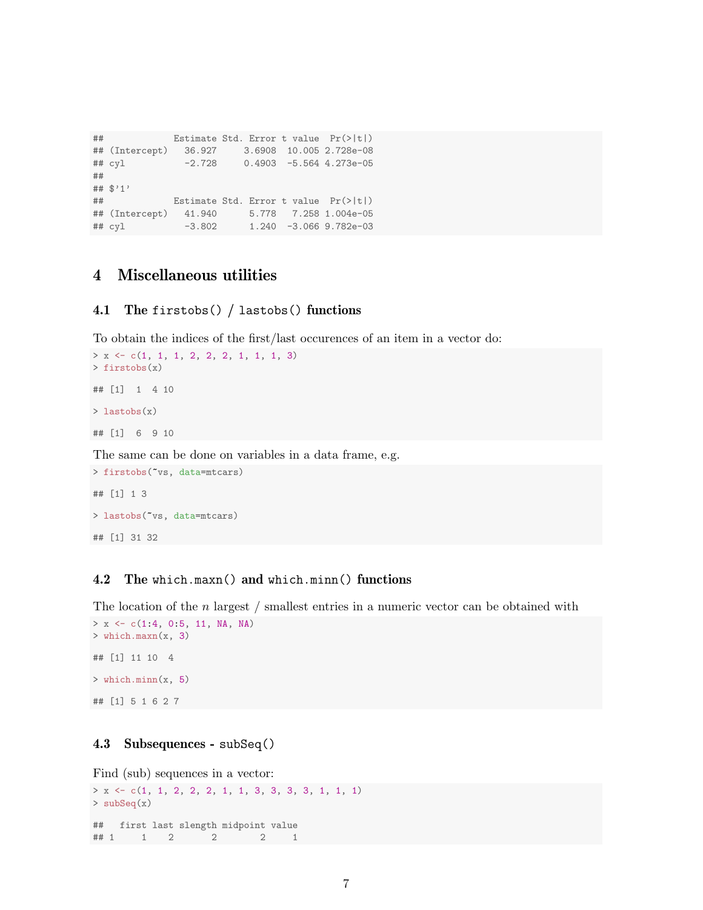```
## Estimate Std. Error t value Pr(>|t|)
## (Intercept) 36.927 3.6908 10.005 2.728e-08
## cyl -2.728 0.4903 -5.564 4.273e-05
##
## $'1'
## Estimate Std. Error t value Pr(>|t|)
## (Intercept) 41.940 5.778 7.258 1.004e-05
## cyl -3.802 1.240 -3.066 9.782e-03
```
# <span id="page-6-0"></span>4 Miscellaneous utilities

### <span id="page-6-1"></span>4.1 The firstobs() / lastobs() functions

To obtain the indices of the first/last occurences of an item in a vector do:

```
> x \leftarrow c(1, 1, 1, 2, 2, 2, 1, 1, 1, 3)> firstobs(x)
## [1] 1 4 10
> lastobs(x)
## [1] 6 9 10
```
The same can be done on variables in a data frame, e.g.

```
> firstobs(~vs, data=mtcars)
## [1] 1 3
> lastobs(~vs, data=mtcars)
## [1] 31 32
```
#### <span id="page-6-2"></span>4.2 The which.maxn() and which.minn() functions

The location of the  $n$  largest  $/$  smallest entries in a numeric vector can be obtained with  $> x \leftarrow c(1:4, 0:5, 11, NA, NA)$ 

```
> which.maxn(x, 3)
## [1] 11 10 4
> which.minn(x, 5)## [1] 5 1 6 2 7
```
### <span id="page-6-3"></span>4.3 Subsequences - subSeq()

Find (sub) sequences in a vector:

```
> x <- c(1, 1, 2, 2, 2, 1, 1, 3, 3, 3, 3, 1, 1, 1)
> subSeq(x)
## first last slength midpoint value
## 1 1 2 2 2 1
```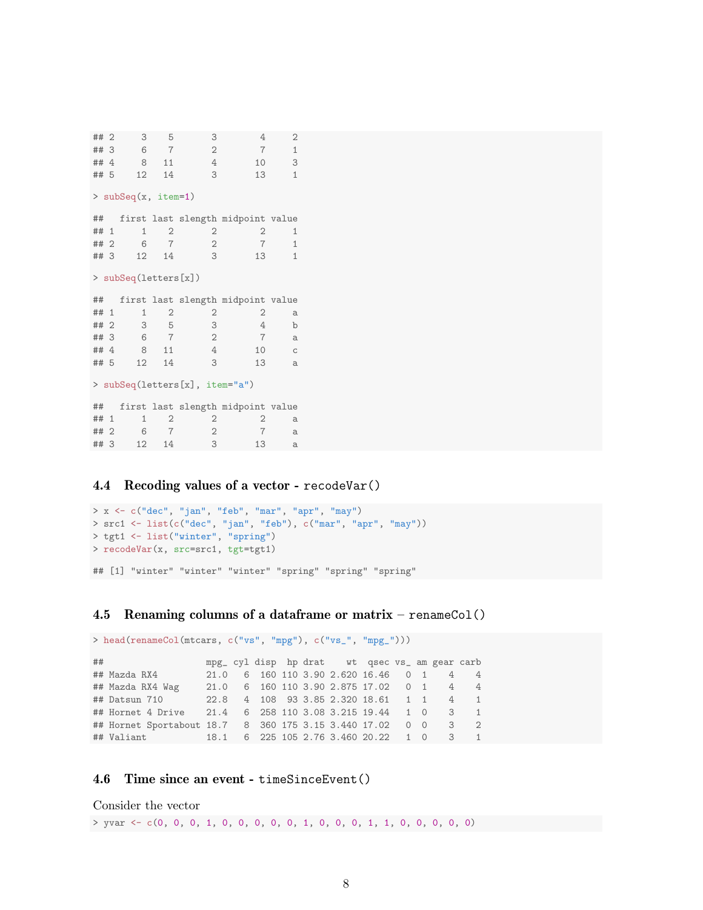```
## 2 3 5 3 4 2
## 3 6 7 2 7 1
## 4 8 11 4 10 3
## 5 12 14 3 13 1
> subSeq(x, item=1)
## first last slength midpoint value
\begin{array}{ccccccccc}\n\texttt{\#} & 1 & 1 & 2 & 2 & 2 & 1 \\
\texttt{\#} & 2 & 6 & 7 & 2 & 7 & 1\n\end{array}\begin{array}{ccccccccc} & 6 & & 7 & & 2 & & 7 & & 1 \\ & 12 & & 14 & & 3 & & 13 & & 1 \end{array}## 3 12 14
> subSeq(letters[x])
## first last slength midpoint value
## 1 1 2 2 2 a
## 2 3 5 3 4 b<br>## 3 6 7 2 7 a
\begin{array}{ccccccccc}\n\text{***} & 3 & 6 & 7 & 2 \\
\text{***} & 8 & 11 & 4\n\end{array}## 4 8 11 4 10 c<br>## 5 12 14 3 13 a
## 5 12 14
> subSeq(letters[x], item="a")
## first last slength midpoint value
\begin{array}{ccccccccc}\n# & 1 & 1 & 2 & 2 & 2 & a \\
# & 2 & 6 & 7 & 2 & 7 & a\n\end{array}## 2 6 7 2 7 a
## 3 12 14 3 13 a
```
### <span id="page-7-0"></span>4.4 Recoding values of a vector - recodeVar()

```
> x <- c("dec", "jan", "feb", "mar", "apr", "may")
> src1 <- list(c("dec", "jan", "feb"), c("mar", "apr", "may"))
> tgt1 <- list("winter", "spring")
> recodeVar(x, src=src1, tgt=tgt1)
## [1] "winter" "winter" "winter" "spring" "spring" "spring"
```
#### <span id="page-7-1"></span>4.5 Renaming columns of a data frame or matrix – renameCol()

> head(renameCol(mtcars, c("vs", "mpg"), c("vs\_", "mpg\_"))) ## mpg\_ cyl disp hp drat wt qsec vs\_ am gear carb 21.0 6 160 110 3.90 2.620 16.46 0 1 4 4 ## Mazda RX4 Wag 21.0 6 160 110 3.90 2.875 17.02 0 1 4 4 ## Datsun 710 22.8 4 108 93 3.85 2.320 18.61 1 1 4 1 ## Hornet 4 Drive 21.4 6 258 110 3.08 3.215 19.44 1 0 3 1 ## Hornet Sportabout 18.7 8 360 175 3.15 3.440 17.02 0 0 3 2 ## Valiant 18.1 6 225 105 2.76 3.460 20.22 1 0 3 1

#### <span id="page-7-2"></span>4.6 Time since an event - timeSinceEvent()

```
Consider the vector
```

```
> yvar <- c(0, 0, 0, 1, 0, 0, 0, 0, 0, 1, 0, 0, 0, 1, 1, 0, 0, 0, 0, 0)
```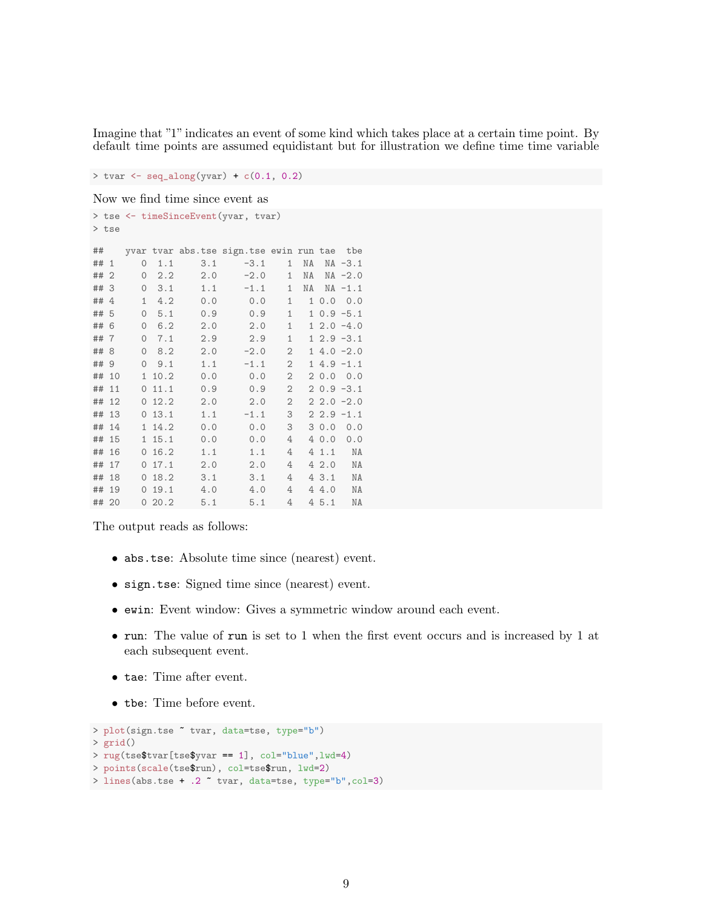Imagine that "1" indicates an event of some kind which takes place at a certain time point. By default time points are assumed equidistant but for illustration we define time time variable

 $>$  tvar  $\leftarrow$  seq\_along(yvar) +  $c(0.1, 0.2)$ 

Now we find time since event as

```
> tse <- timeSinceEvent(yvar, tvar)
> tse
## yvar tvar abs.tse sign.tse ewin run tae tbe
## 1 0 1.1 3.1 -3.1 1 NA NA -3.1
## 2 0 2.2 2.0 -2.0 1 NA NA -2.0
## 3 0 3.1 1.1 -1.1 1 NA NA -1.1
## 4 1 4.2 0.0 0.0 1 1 0.0 0.0
## 5 0 5.1 0.9 0.9 1 1 0.9 -5.1
## 6 0 6.2 2.0 2.0 1 1 2.0 -4.0
## 7 0 7.1 2.9 2.9 1 1 2.9 -3.1
## 8 0 8.2 2.0 -2.0 2 1 4.0 -2.0
## 9 0 9.1 1.1 -1.1 2 1 4.9 -1.1
## 10 1 10.2 0.0 0.0 2 2 0.0 0.0
## 11 0 11.1 0.9 0.9 2 2 0.9 -3.1
## 12 0 12.2 2.0 2.0 2 2 2.0 -2.0
## 13 0 13.1 1.1 -1.1 3 2 2.9 -1.1
## 14 1 14.2 0.0 0.0 3 3 0.0 0.0
## 15 1 15.1 0.0 0.0 4 4 0.0 0.0
## 16 0 16.2 1.1 1.1 4 4 1.1 NA
## 17 0 17.1 2.0 2.0 4 4 2.0 NA
## 18 0 18.2 3.1 3.1 4 4 3.1 NA
     0 19.1 4.0 4.0 4 4 4.0 NA
## 20 0 20.2 5.1 5.1 4 4 5.1 NA
```
The output reads as follows:

- abs.tse: Absolute time since (nearest) event.
- sign.tse: Signed time since (nearest) event.
- ewin: Event window: Gives a symmetric window around each event.
- run: The value of run is set to 1 when the first event occurs and is increased by 1 at each subsequent event.
- tae: Time after event.
- tbe: Time before event.

```
> plot(sign.tse ~ tvar, data=tse, type="b")
> grid()
> rug(tse$tvar[tse$yvar == 1], col="blue", lwd=4)> points(scale(tse$run), col=tse$run, lwd=2)
> lines(abs.tse + .2 ~ tvar, data=tse, type="b",col=3)
```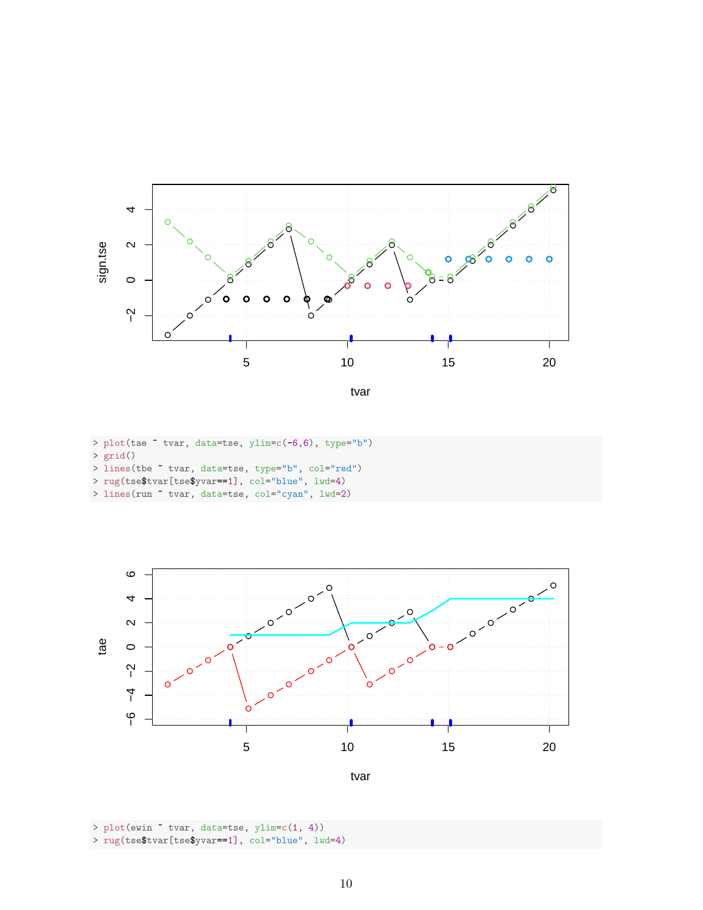



- > plot(tae ~ tvar, data=tse, ylim=c(-6,6), type="b") > grid()
- > lines(tbe ~ tvar, data=tse, type="b", col="red")
- > rug(tse\$tvar[tse\$yvar==1], col="blue", lwd=4)
- > lines(run ~ tvar, data=tse, col="cyan", lwd=2)



> plot(ewin ~ tvar, data=tse, ylim=c(1, 4)) > rug(tse\$tvar[tse\$yvar==1], col="blue", lwd=4)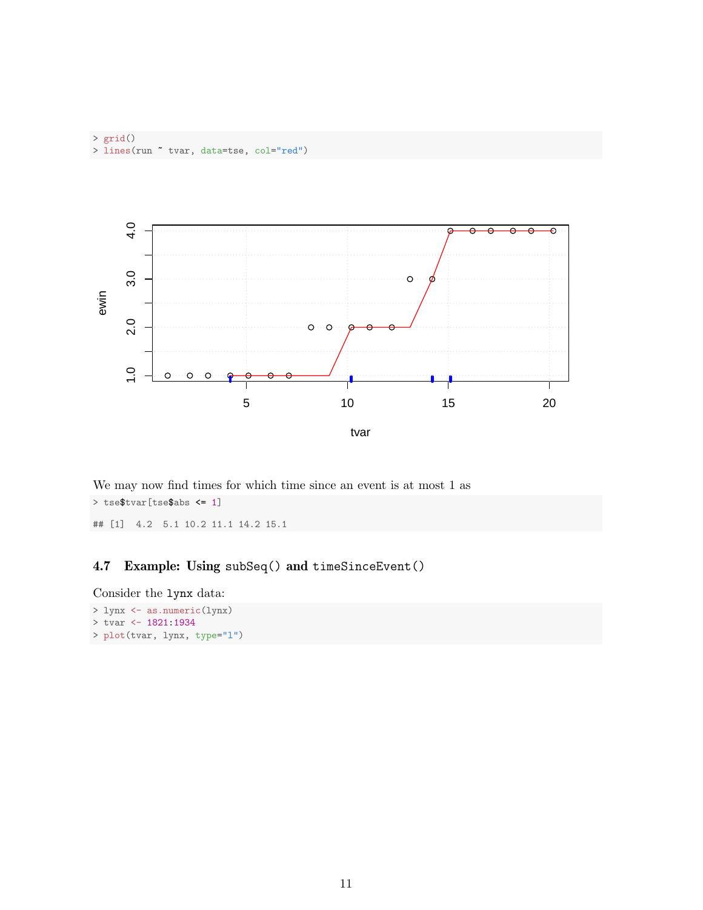

We may now find times for which time since an event is at most 1 as > tse\$tvar[tse\$abs <= 1]

## [1] 4.2 5.1 10.2 11.1 14.2 15.1

# <span id="page-10-0"></span>4.7 Example: Using subSeq() and timeSinceEvent()

Consider the lynx data:

```
> lynx <- as.numeric(lynx)
```

```
> tvar <- 1821:1934
```

```
> plot(tvar, lynx, type="l")
```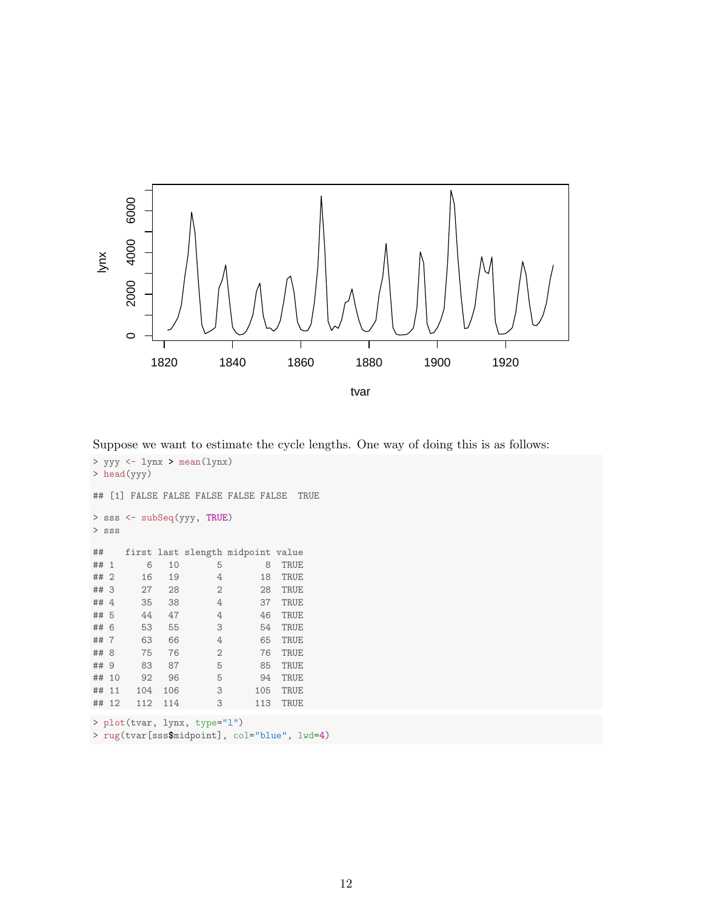

Suppose we want to estimate the cycle lengths. One way of doing this is as follows:

```
> yyy <- lynx > mean(lynx)
> head(yyy)
## [1] FALSE FALSE FALSE FALSE FALSE TRUE
> sss <- subSeq(yyy, TRUE)
> sss
## first last slength midpoint value
## 1 6 10 5 8 TRUE
## 2 16 19 4 18 TRUE
## 3 27 28 2 28 TRUE
## 4 35 38 4 37 TRUE
      44 47 4 46 TRUE
## 6 53 55 3 54 TRUE
## 7 63 66 4 65 TRUE
## 8 75 76 2 76 TRUE
## 9 83 87 5 85 TRUE
## 10 92 96 5 94 TRUE
## 11 104 106 3 105 TRUE
## 12 112 114 3 113 TRUE
> plot(tvar, lynx, type="l")
```

```
> rug(tvar[sss$midpoint], col="blue", lwd=4)
```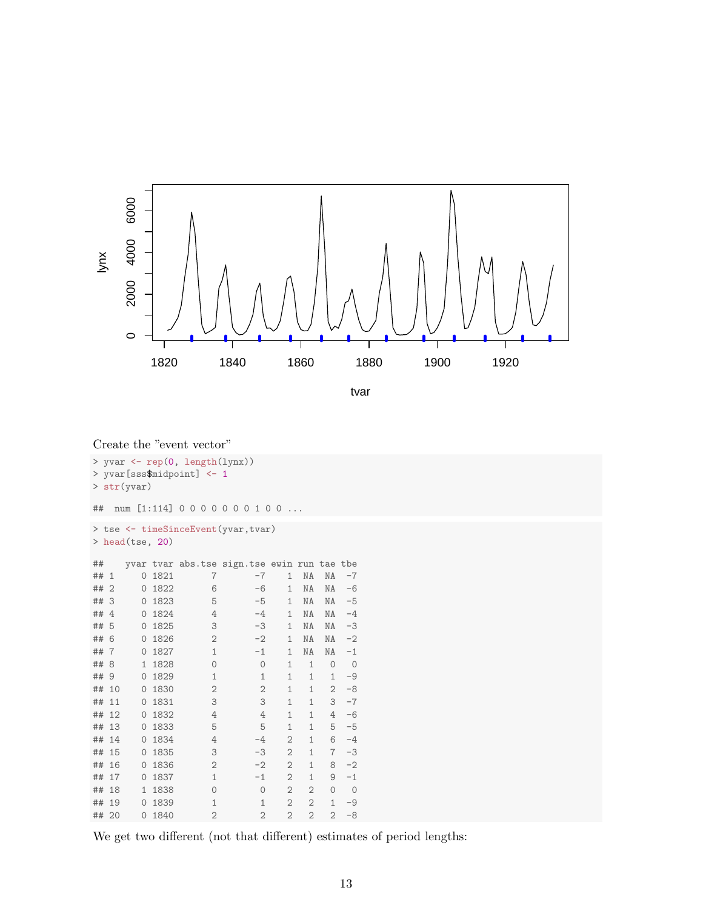

tvar

|       |                     |        | Create the "event vector"                                    |                |                |                |                |         |  |  |  |  |
|-------|---------------------|--------|--------------------------------------------------------------|----------------|----------------|----------------|----------------|---------|--|--|--|--|
|       | > str(yvar)         |        | > yvar <- rep(0, length(lynx))<br>> yvar[sss\$midpoint] <- 1 |                |                |                |                |         |  |  |  |  |
| ##    |                     |        | num [1:114] 0000000100                                       |                |                |                |                |         |  |  |  |  |
|       |                     |        | > tse <- timeSinceEvent(yvar, tvar)                          |                |                |                |                |         |  |  |  |  |
|       | > head (tse, $20$ ) |        |                                                              |                |                |                |                |         |  |  |  |  |
| ##    |                     |        | yvar tvar abs.tse sign.tse ewin run tae tbe                  |                |                |                |                |         |  |  |  |  |
| ## 1  |                     | 0 1821 | 7                                                            | $-7$           | $\mathbf{1}$   | NA             | NA             | $-7$    |  |  |  |  |
| ## 2  |                     | 0 1822 | 6                                                            | $-6$           | 1              | NA             | NA             | $-6$    |  |  |  |  |
| ## 3  |                     | 0 1823 | 5                                                            | $-5$           | $\mathbf{1}$   | NA             | NA             | $-5$    |  |  |  |  |
| ## 4  |                     | 0 1824 | 4                                                            | $-4$           | 1              | NA             | NA             | $-4$    |  |  |  |  |
| ## 5  |                     | 0 1825 | 3                                                            | $-3$           | 1              | NA             | NA             | $-3$    |  |  |  |  |
| ## 6  |                     | 0 1826 | $\mathbf{2}$                                                 | $-2$           | $\mathbf{1}$   | NA             | NA             | $-2$    |  |  |  |  |
| ## 7  |                     | 0 1827 | $\mathbf{1}$                                                 | $-1$           | $\mathbf{1}$   | NA             | NA             | $-1$    |  |  |  |  |
| ## 8  |                     | 1 1828 | $\mathsf{O}\xspace$                                          | $\circ$        | $\mathbf{1}$   | $\mathbf{1}$   | $\circ$        | $\circ$ |  |  |  |  |
| ## 9  |                     | 0 1829 | $\mathbf{1}$                                                 | $\mathbf{1}$   | $\mathbf{1}$   | $\mathbf{1}$   | $\mathbf{1}$   | $-9$    |  |  |  |  |
| ## 10 |                     | 0 1830 | 2                                                            | $\mathbf{2}$   | $\mathbf{1}$   | $\mathbf{1}$   | 2              | $-8$    |  |  |  |  |
| ## 11 |                     | 0 1831 | 3                                                            | 3              | $\mathbf{1}$   | $\mathbf{1}$   | 3              | $-7$    |  |  |  |  |
| ## 12 |                     | 0 1832 | 4                                                            | $\overline{4}$ | $\mathbf{1}$   | $\mathbf{1}$   | 4              | $-6$    |  |  |  |  |
| ## 13 |                     | 0 1833 | 5                                                            | 5              | $\mathbf{1}$   | $\mathbf{1}$   | 5              | $-5$    |  |  |  |  |
| ## 14 |                     | 0 1834 | 4                                                            | $-4$           | $\overline{2}$ | $\mathbf{1}$   | 6              | $-4$    |  |  |  |  |
| ## 15 |                     | 0 1835 | 3                                                            | $-3$           | $\overline{2}$ | $\mathbf{1}$   | $\overline{7}$ | $-3$    |  |  |  |  |
| ## 16 |                     | 0 1836 | $\overline{2}$                                               | $-2$           | $\overline{2}$ | $\mathbf{1}$   | 8              | $-2$    |  |  |  |  |
| ## 17 |                     | 0 1837 | $\mathbf{1}$                                                 | $-1$           | $\overline{2}$ | $\mathbf{1}$   | 9              | $-1$    |  |  |  |  |
| ## 18 |                     | 1 1838 | $\circ$                                                      | $\circ$        | $\overline{2}$ | $\overline{2}$ | $\mathbf 0$    | $\circ$ |  |  |  |  |
| ## 19 |                     | 0 1839 | 1                                                            | $\mathbf{1}$   | $\overline{2}$ | $\overline{2}$ | $\mathbf{1}$   | $-9$    |  |  |  |  |
| ## 20 |                     | 0 1840 | 2                                                            | $\overline{2}$ | $\overline{2}$ | $\overline{2}$ | $\overline{2}$ | $-8$    |  |  |  |  |

We get two different (not that different) estimates of period lengths: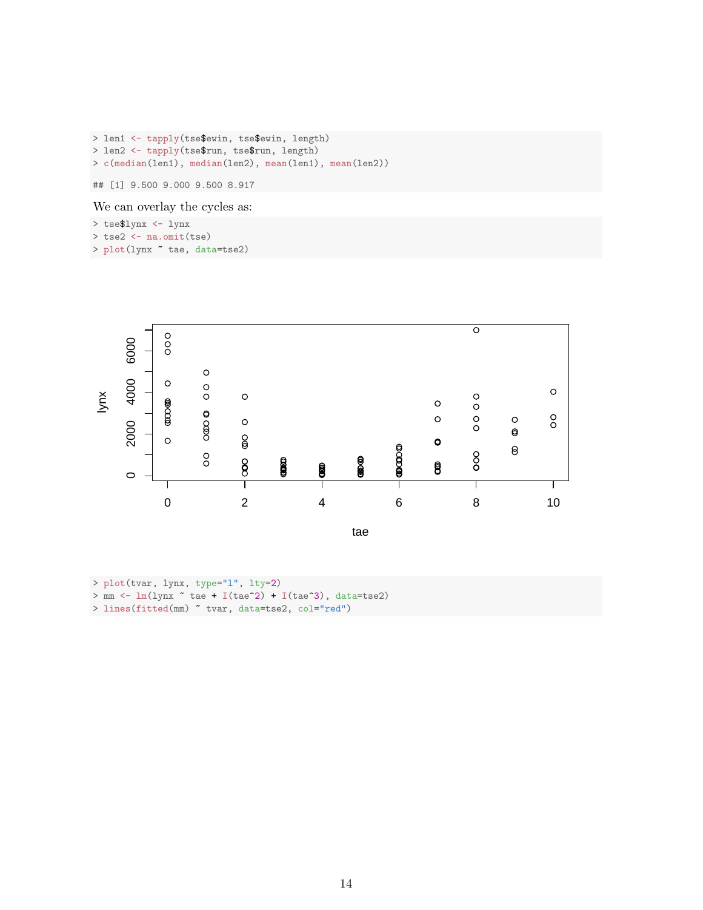```
> len1 <- tapply(tse$ewin, tse$ewin, length)
> len2 <- tapply(tse$run, tse$run, length)
> c(median(len1), median(len2), mean(len1), mean(len2))
```
## [1] 9.500 9.000 9.500 8.917

We can overlay the cycles as:

- > tse\$lynx <- lynx
- $>$  tse2  $\leq$  na.omit(tse)
- > plot(lynx ~ tae, data=tse2)



- > plot(tvar, lynx, type="l", lty=2)
- $> mm$  <-  $lm(lynx$   $\sim$  tae + I(tae^2) + I(tae^3), data=tse2)
- > lines(fitted(mm) ~ tvar, data=tse2, col="red")